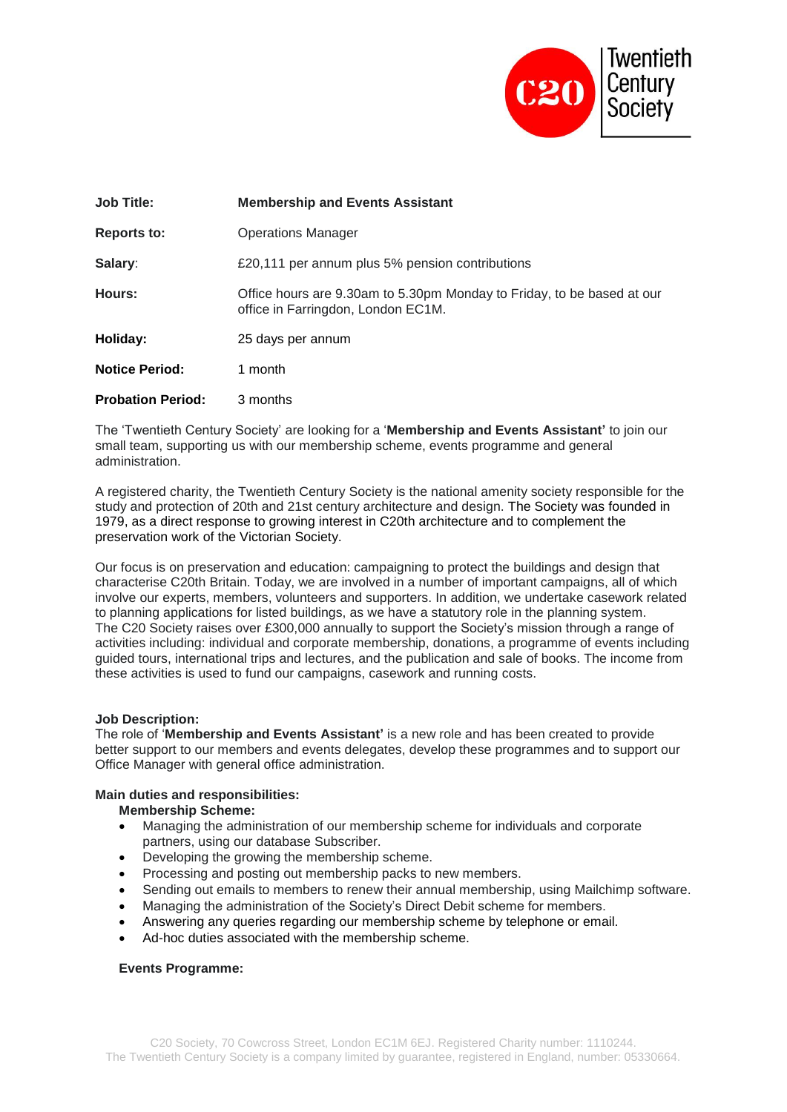

| Job Title:               | <b>Membership and Events Assistant</b>                                                                       |
|--------------------------|--------------------------------------------------------------------------------------------------------------|
| Reports to:              | <b>Operations Manager</b>                                                                                    |
| Salary:                  | £20,111 per annum plus 5% pension contributions                                                              |
| Hours:                   | Office hours are 9.30am to 5.30pm Monday to Friday, to be based at our<br>office in Farringdon, London EC1M. |
| Holiday:                 | 25 days per annum                                                                                            |
| <b>Notice Period:</b>    | 1 month                                                                                                      |
| <b>Probation Period:</b> | 3 months                                                                                                     |

The 'Twentieth Century Society' are looking for a '**Membership and Events Assistant'** to join our small team, supporting us with our membership scheme, events programme and general administration.

A registered charity, the Twentieth Century Society is the national amenity society responsible for the study and protection of 20th and 21st century architecture and design. The Society was founded in 1979, as a direct response to growing interest in C20th architecture and to complement the preservation work of the Victorian Society.

Our focus is on preservation and education: campaigning to protect the buildings and design that characterise C20th Britain. Today, we are involved in a number of important campaigns, all of which involve our experts, members, volunteers and supporters. In addition, we undertake casework related to planning applications for listed buildings, as we have a statutory role in the planning system. The C20 Society raises over £300,000 annually to support the Society's mission through a range of activities including: individual and corporate membership, donations, a programme of events including guided tours, international trips and lectures, and the publication and sale of books. The income from these activities is used to fund our campaigns, casework and running costs.

### **Job Description:**

The role of '**Membership and Events Assistant'** is a new role and has been created to provide better support to our members and events delegates, develop these programmes and to support our Office Manager with general office administration.

#### **Main duties and responsibilities:**

**Membership Scheme:**

- Managing the administration of our membership scheme for individuals and corporate partners, using our database Subscriber.
- Developing the growing the membership scheme.
- Processing and posting out membership packs to new members.
- Sending out emails to members to renew their annual membership, using Mailchimp software.
- Managing the administration of the Society's Direct Debit scheme for members.
- Answering any queries regarding our membership scheme by telephone or email.
- Ad-hoc duties associated with the membership scheme.

#### **Events Programme:**